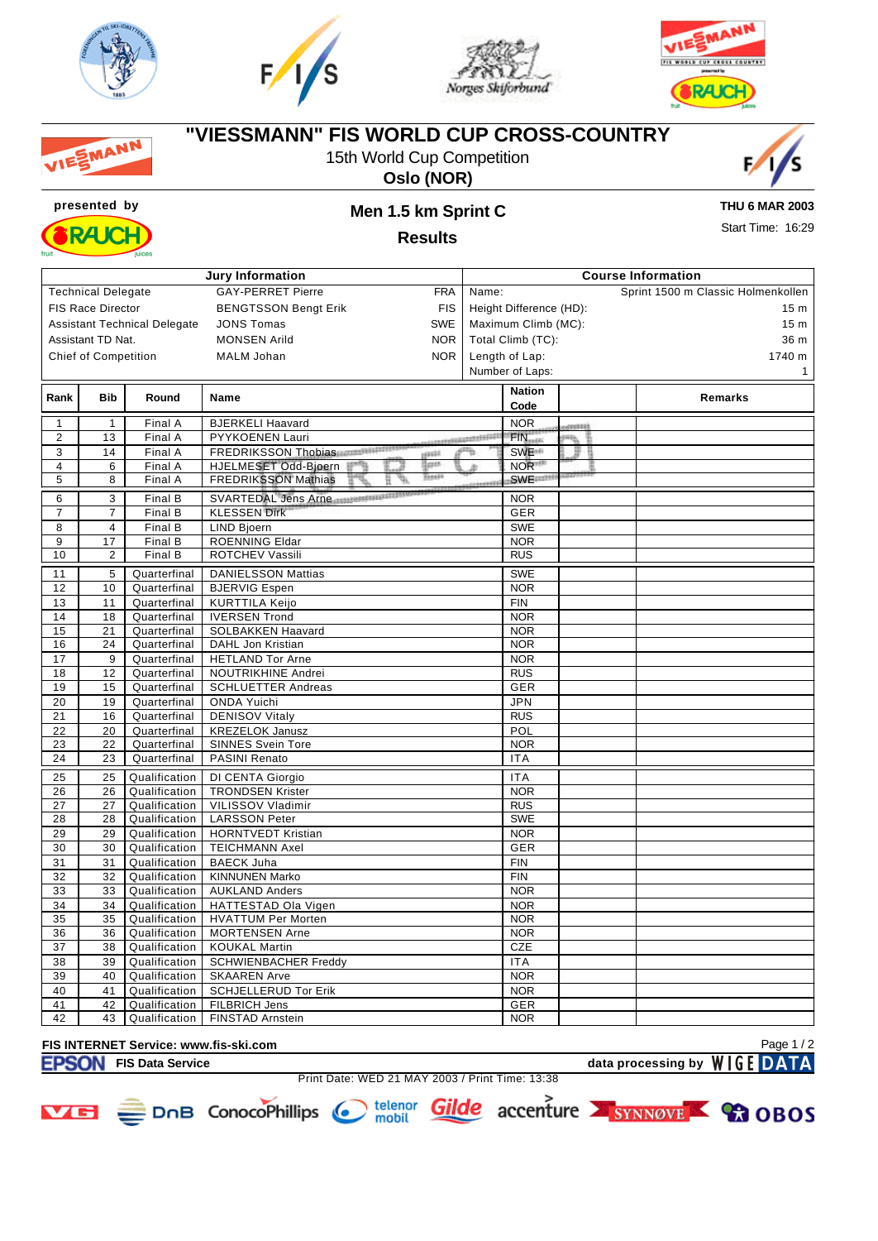







#### **"VIESSMANN" FIS WORLD CUP CROSS-COUNTRY** MANN 15th World Cup Competition







### **presented by Men 1.5 km Sprint C**

**THU 6 MAR 2003** Start Time: 16:29

**Results**

| <b>Jury Information</b>        |                                                        |                                     |                                                       | <b>Course Information</b> |                       |         |                                    |  |  |  |
|--------------------------------|--------------------------------------------------------|-------------------------------------|-------------------------------------------------------|---------------------------|-----------------------|---------|------------------------------------|--|--|--|
|                                | <b>Technical Delegate</b>                              |                                     | <b>GAY-PERRET Pierre</b><br><b>FRA</b>                | Name:                     |                       |         | Sprint 1500 m Classic Holmenkollen |  |  |  |
|                                | <b>FIS Race Director</b>                               |                                     | <b>BENGTSSON Bengt Erik</b><br><b>FIS</b>             | Height Difference (HD):   |                       |         | 15 <sub>m</sub>                    |  |  |  |
|                                |                                                        | <b>Assistant Technical Delegate</b> | <b>SWE</b><br><b>JONS Tomas</b>                       |                           | Maximum Climb (MC):   |         | 15 <sub>m</sub>                    |  |  |  |
|                                | Assistant TD Nat.<br><b>MONSEN Arild</b><br><b>NOR</b> |                                     |                                                       | Total Climb (TC):         |                       |         |                                    |  |  |  |
|                                |                                                        |                                     | <b>NOR</b><br><b>MALM Johan</b>                       |                           | Length of Lap:        |         | 36 m<br>1740 m                     |  |  |  |
| <b>Chief of Competition</b>    |                                                        |                                     |                                                       |                           | Number of Laps:       |         | 1                                  |  |  |  |
|                                |                                                        |                                     |                                                       |                           |                       |         |                                    |  |  |  |
| Rank                           | <b>Bib</b>                                             | Round                               | Name                                                  |                           | <b>Nation</b><br>Code |         | Remarks                            |  |  |  |
|                                | 1                                                      |                                     |                                                       |                           | <b>NOR</b>            |         |                                    |  |  |  |
| $\mathbf{1}$<br>$\overline{2}$ | 13                                                     | Final A                             | <b>BJERKELI Haavard</b><br>PYYKOENEN Lauri            |                           | $FIN_{min}$           | 00000   |                                    |  |  |  |
| 3                              | 14                                                     | Final A<br>Final A                  | FREDRIKSSON Thobias                                   | ,,,,,,,,,,,,,,,,,,,,<br>m | SWE <sup>+</sup>      | 晒音<br>臣 |                                    |  |  |  |
| $\overline{4}$                 | 6                                                      | Final A                             | <b>Hash</b><br>tipes.<br>HJELMESET Odd-Bjoern         |                           | NOR <sup>11</sup>     |         |                                    |  |  |  |
| 5                              | 8                                                      | Final A                             | <b>Total</b><br><b>FREDRIKSSON Mathias</b><br>ь,<br>Ħ |                           | <b>SWE</b>            |         |                                    |  |  |  |
|                                |                                                        |                                     |                                                       |                           |                       |         |                                    |  |  |  |
| 6                              | $\overline{\mathbf{3}}$                                | Final B                             | SVARTEDAL Jens Arne                                   |                           | <b>NOR</b>            |         |                                    |  |  |  |
| $\overline{7}$                 | $\overline{7}$                                         | Final B                             | <b>KLESSEN Dirk</b>                                   |                           | GER                   |         |                                    |  |  |  |
| 8                              | $\overline{4}$                                         | Final B                             | <b>LIND Bjoern</b>                                    |                           | <b>SWE</b>            |         |                                    |  |  |  |
| 9                              | 17                                                     | Final B                             | <b>ROENNING Eldar</b>                                 |                           | <b>NOR</b>            |         |                                    |  |  |  |
| 10                             | 2                                                      | Final B                             | ROTCHEV Vassili                                       |                           | <b>RUS</b>            |         |                                    |  |  |  |
| 11                             | 5                                                      | Quarterfinal                        | <b>DANIELSSON Mattias</b>                             |                           | <b>SWE</b>            |         |                                    |  |  |  |
| 12                             | 10                                                     | Quarterfinal                        | <b>BJERVIG Espen</b>                                  |                           | <b>NOR</b>            |         |                                    |  |  |  |
| 13                             | 11                                                     | Quarterfinal                        | <b>KURTTILA Keijo</b>                                 |                           | <b>FIN</b>            |         |                                    |  |  |  |
| 14                             | 18                                                     | Quarterfinal                        | <b>IVERSEN Trond</b>                                  |                           | <b>NOR</b>            |         |                                    |  |  |  |
| 15                             | 21                                                     | Quarterfinal                        | SOLBAKKEN Haavard                                     |                           | <b>NOR</b>            |         |                                    |  |  |  |
| 16                             | 24                                                     | Quarterfinal                        | DAHL Jon Kristian                                     |                           | <b>NOR</b>            |         |                                    |  |  |  |
| 17                             | 9                                                      | Quarterfinal                        | <b>HETLAND Tor Arne</b>                               |                           | <b>NOR</b>            |         |                                    |  |  |  |
| 18                             | 12                                                     | Quarterfinal                        | NOUTRIKHINE Andrei                                    |                           | <b>RUS</b>            |         |                                    |  |  |  |
| 19                             | 15                                                     | Quarterfinal                        | <b>SCHLUETTER Andreas</b>                             |                           | GER                   |         |                                    |  |  |  |
| 20                             | 19                                                     | Quarterfinal                        | <b>ONDA Yuichi</b>                                    |                           | <b>JPN</b>            |         |                                    |  |  |  |
| 21                             | 16                                                     | Quarterfinal                        | <b>DENISOV Vitaly</b>                                 |                           | <b>RUS</b>            |         |                                    |  |  |  |
| 22                             | 20                                                     | Quarterfinal                        | <b>KREZELOK Janusz</b>                                |                           | POL                   |         |                                    |  |  |  |
| 23                             | 22                                                     | Quarterfinal                        | <b>SINNES Svein Tore</b>                              |                           | <b>NOR</b>            |         |                                    |  |  |  |
| 24                             | 23                                                     | Quarterfinal                        | PASINI Renato                                         |                           | <b>ITA</b>            |         |                                    |  |  |  |
| 25                             | 25                                                     | Qualification                       | DI CENTA Giorgio                                      |                           | <b>ITA</b>            |         |                                    |  |  |  |
| 26                             | 26                                                     | Qualification                       | <b>TRONDSEN Krister</b>                               |                           | <b>NOR</b>            |         |                                    |  |  |  |
| 27                             | 27                                                     | Qualification                       | VILISSOV Vladimir                                     |                           | <b>RUS</b>            |         |                                    |  |  |  |
| 28                             | 28                                                     | Qualification                       | <b>LARSSON Peter</b>                                  |                           | <b>SWE</b>            |         |                                    |  |  |  |
| 29                             | 29                                                     | Qualification                       | <b>HORNTVEDT Kristian</b>                             |                           | <b>NOR</b>            |         |                                    |  |  |  |
| 30                             | 30                                                     | Qualification                       | <b>TEICHMANN Axel</b>                                 |                           | <b>GER</b>            |         |                                    |  |  |  |
| 31                             | 31                                                     | Qualification                       | <b>BAECK Juha</b>                                     |                           | <b>FIN</b>            |         |                                    |  |  |  |
| 32                             | 32                                                     | Qualification                       | <b>KINNUNEN Marko</b>                                 |                           | <b>FIN</b>            |         |                                    |  |  |  |
| 33                             | 33                                                     | Qualification                       | <b>AUKLAND Anders</b>                                 |                           | NOR                   |         |                                    |  |  |  |
| 34                             | 34                                                     | Qualification                       | HATTESTAD Ola Vigen                                   |                           | <b>NOR</b>            |         |                                    |  |  |  |
| 35                             | 35                                                     | Qualification                       | <b>HVATTUM Per Morten</b>                             |                           | <b>NOR</b>            |         |                                    |  |  |  |
| 36                             | 36                                                     | Qualification                       | <b>MORTENSEN Arne</b>                                 |                           | <b>NOR</b>            |         |                                    |  |  |  |
| 37                             | 38                                                     | Qualification                       | <b>KOUKAL Martin</b>                                  |                           | CZE                   |         |                                    |  |  |  |
| 38                             | 39                                                     | Qualification                       | <b>SCHWIENBACHER Freddy</b>                           |                           | <b>ITA</b>            |         |                                    |  |  |  |
| 39                             | 40                                                     | Qualification                       | <b>SKAAREN Arve</b>                                   |                           | <b>NOR</b>            |         |                                    |  |  |  |
| 40                             | 41                                                     | Qualification                       | <b>SCHJELLERUD Tor Erik</b>                           |                           | <b>NOR</b>            |         |                                    |  |  |  |
| 41<br>42                       | 42                                                     | Qualification                       | FILBRICH Jens                                         |                           | <b>GER</b>            |         |                                    |  |  |  |
|                                | 43                                                     | Qualification                       | <b>FINSTAD Arnstein</b>                               |                           | <b>NOR</b>            |         |                                    |  |  |  |

## **FIS INTERNET Service: www.fis-ski.com**

Print Date: WED 21 MAY 2003 / Print Time: 13:38

**EXAMPLE DATA** Page 1 / 2